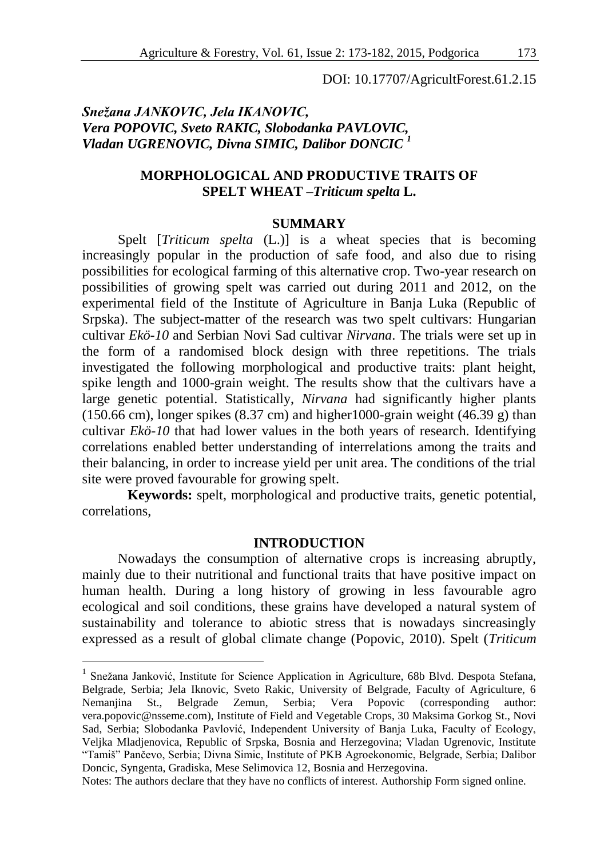DOI: 10.17707/AgricultForest.61.2.15

# *Snežana JANKOVIC, Jela IKANOVIC, Vera POPOVIC, Sveto RAKIC, Slobodanka PAVLOVIC, Vladan UGRENOVIC, Divna SIMIC, Dalibor DONCIC <sup>1</sup>*

## **MORPHOLOGICAL AND PRODUCTIVE TRAITS OF SPELT WHEAT –***Triticum spelta* **L.**

#### **SUMMARY**

Spelt [*Triticum spelta* (L.)] is a wheat species that is becoming increasingly popular in the production of safe food, and also due to rising possibilities for ecological farming of this alternative crop. Two-year research on possibilities of growing spelt was carried out during 2011 and 2012, on the experimental field of the Institute of Agriculture in Banja Luka (Republic of Srpska). The subject-matter of the research was two spelt cultivars: Hungarian cultivar *Ekö-10* and Serbian Novi Sad cultivar *Nirvana*. The trials were set up in the form of a randomised block design with three repetitions. The trials investigated the following morphological and productive traits: plant height, spike length and 1000-grain weight. The results show that the cultivars have a large genetic potential. Statistically, *Nirvana* had significantly higher plants  $(150.66 \text{ cm})$ , longer spikes  $(8.37 \text{ cm})$  and higher 1000-grain weight  $(46.39 \text{ g})$  than cultivar *Ekö-10* that had lower values in the both years of research. Identifying correlations enabled better understanding of interrelations among the traits and their balancing, in order to increase yield per unit area. The conditions of the trial site were proved favourable for growing spelt.

**Keywords:** spelt, morphological and productive traits, genetic potential, correlations,

### **INTRODUCTION**

Nowadays the consumption of alternative crops is increasing abruptly, mainly due to their nutritional and functional traits that have positive impact on human health. During a long history of growing in less favourable agro ecological and soil conditions, these grains have developed a natural system of sustainability and tolerance to abiotic stress that is nowadays sincreasingly expressed as a result of global climate change (Popovic, 2010). Spelt (*Triticum* 

<u>.</u>

Notes: The authors declare that they have no conflicts of interest. Authorship Form signed online.

<sup>&</sup>lt;sup>1</sup> Snežana Janković, Institute for Science Application in Agriculture, 68b Blvd. Despota Stefana, Belgrade, Serbia; Jela Iknovic, Sveto Rakic, University of Belgrade, Faculty of Agriculture, 6 Nemanjina St., Belgrade Zemun, Serbia; Vera Popovic (corresponding author: vera.popovic@nsseme.com), Institute of Field and Vegetable Crops, 30 Maksima Gorkog St., Novi Sad, Serbia; Slobodanka Pavlović, Independent University of Banja Luka, Faculty of Ecology, Veljka Mladjenovica, Republic of Srpska, Bosnia and Herzegovina; Vladan Ugrenovic, Institute "Tamiš" Pančevo, Serbia; Divna Simic, Institute of PKB Agroekonomic, Belgrade, Serbia; Dalibor Doncic, Syngenta, Gradiska, Mese Selimovica 12, Bosnia and Herzegovina.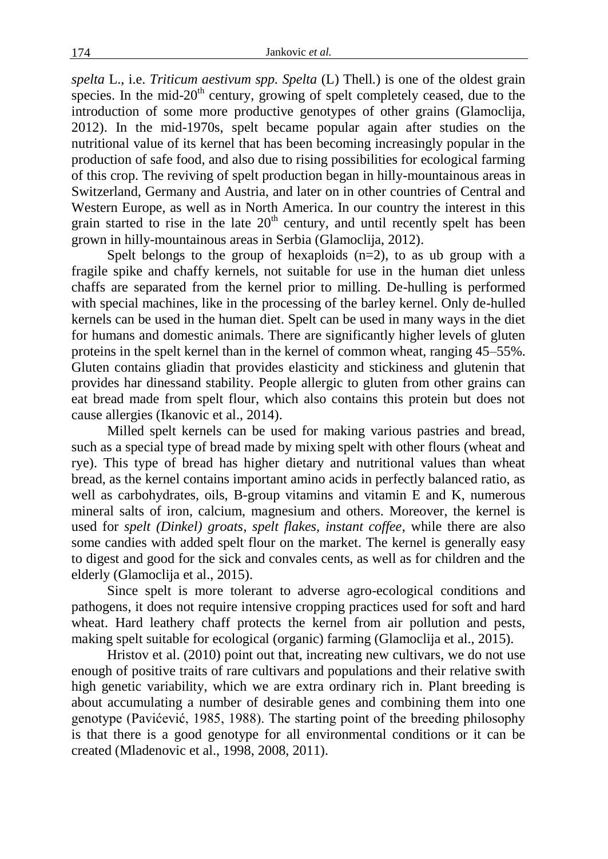*spelta* L., i.e. *Triticum aestivum spp. Spelta* (L) Thell*.*) is one of the oldest grain species. In the mid-20<sup>th</sup> century, growing of spelt completely ceased, due to the introduction of some more productive genotypes of other grains (Glamoclija, 2012). In the mid-1970s, spelt became popular again after studies on the nutritional value of its kernel that has been becoming increasingly popular in the production of safe food, and also due to rising possibilities for ecological farming of this crop. The reviving of spelt production began in hilly-mountainous areas in Switzerland, Germany and Austria, and later on in other countries of Central and Western Europe, as well as in North America. In our country the interest in this grain started to rise in the late  $20<sup>th</sup>$  century, and until recently spelt has been grown in hilly-mountainous areas in Serbia (Glamoclija, 2012).

Spelt belongs to the group of hexaploids  $(n=2)$ , to as ub group with a fragile spike and chaffy kernels, not suitable for use in the human diet unless chaffs are separated from the kernel prior to milling. De-hulling is performed with special machines, like in the processing of the barley kernel. Only de-hulled kernels can be used in the human diet. Spelt can be used in many ways in the diet for humans and domestic animals. There are significantly higher levels of gluten proteins in the spelt kernel than in the kernel of common wheat, ranging 45–55%. Gluten contains gliadin that provides elasticity and stickiness and glutenin that provides har dinessand stability. People allergic to gluten from other grains can eat bread made from spelt flour, which also contains this protein but does not cause allergies (Ikanovic et al., 2014).

Milled spelt kernels can be used for making various pastries and bread, such as a special type of bread made by mixing spelt with other flours (wheat and rye). This type of bread has higher dietary and nutritional values than wheat bread, as the kernel contains important amino acids in perfectly balanced ratio, as well as carbohydrates, oils, B-group vitamins and vitamin E and K, numerous mineral salts of iron, calcium, magnesium and others. Moreover, the kernel is used for *spelt (Dinkel) groats*, *spelt flakes, instant coffee*, while there are also some candies with added spelt flour on the market. The kernel is generally easy to digest and good for the sick and convales cents, as well as for children and the elderly (Glamoclija et al., 2015).

Since spelt is more tolerant to adverse agro-ecological conditions and pathogens, it does not require intensive cropping practices used for soft and hard wheat. Hard leathery chaff protects the kernel from air pollution and pests, making spelt suitable for ecological (organic) farming (Glamoclija et al., 2015).

Hristov et al. (2010) point out that, increating new cultivars, we do not use enough of positive traits of rare cultivars and populations and their relative swith high genetic variability, which we are extra ordinary rich in. Plant breeding is about accumulating a number of desirable genes and combining them into one genotype (Pavićević, 1985, 1988). The starting point of the breeding philosophy is that there is a good genotype for all environmental conditions or it can be created (Mladenovic et al., 1998, 2008, 2011).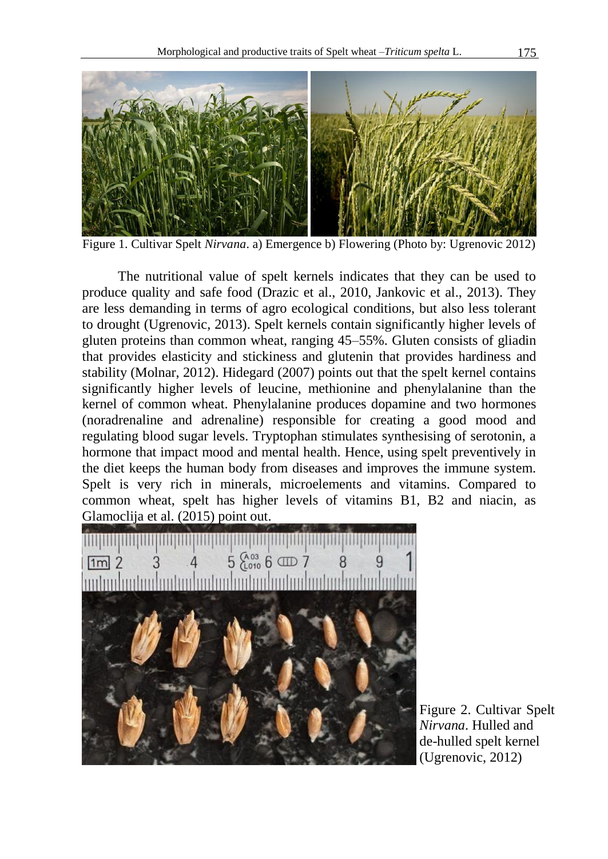

Figure 1. Cultivar Spelt *Nirvana*. a) Emergence b) Flowering (Photo by: Ugrenovic 2012)

The nutritional value of spelt kernels indicates that they can be used to produce quality and safe food (Drazic et al., 2010, Jankovic et al., 2013). They are less demanding in terms of agro ecological conditions, but also less tolerant to drought (Ugrenovic, 2013). Spelt kernels contain significantly higher levels of gluten proteins than common wheat, ranging 45–55%. Gluten consists of gliadin that provides elasticity and stickiness and glutenin that provides hardiness and stability (Molnar, 2012). Hidegard (2007) points out that the spelt kernel contains significantly higher levels of leucine, methionine and phenylalanine than the kernel of common wheat. Phenylalanine produces dopamine and two hormones (noradrenaline and adrenaline) responsible for creating a good mood and regulating blood sugar levels. Tryptophan stimulates synthesising of serotonin, a hormone that impact mood and mental health. Hence, using spelt preventively in the diet keeps the human body from diseases and improves the immune system. Spelt is very rich in minerals, microelements and vitamins. Compared to common wheat, spelt has higher levels of vitamins B1, B2 and niacin, as Glamoclija et al. (2015) point out.



Figure 2. Cultivar Spelt *Nirvana*. Hulled and de-hulled spelt kernel (Ugrenovic, 2012)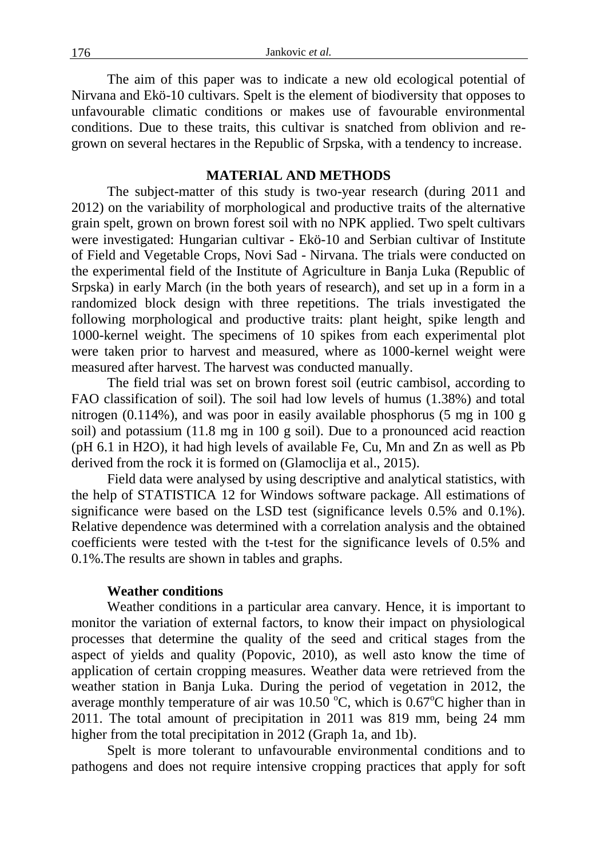The aim of this paper was to indicate a new old ecological potential of Nirvana and Ekö-10 cultivars. Spelt is the element of biodiversity that opposes to unfavourable climatic conditions or makes use of favourable environmental conditions. Due to these traits, this cultivar is snatched from oblivion and regrown on several hectares in the Republic of Srpska, with a tendency to increase.

### **MATERIAL AND METHODS**

The subject-matter of this study is two-year research (during 2011 and 2012) on the variability of morphological and productive traits of the alternative grain spelt, grown on brown forest soil with no NPK applied. Two spelt cultivars were investigated: Hungarian cultivar - Ekö-10 and Serbian cultivar of Institute of Field and Vegetable Crops, Novi Sad - Nirvana. The trials were conducted on the experimental field of the Institute of Agriculture in Banja Luka (Republic of Srpska) in early March (in the both years of research), and set up in a form in a randomized block design with three repetitions. The trials investigated the following morphological and productive traits: plant height, spike length and 1000-kernel weight. The specimens of 10 spikes from each experimental plot were taken prior to harvest and measured, where as 1000-kernel weight were measured after harvest. The harvest was conducted manually.

The field trial was set on brown forest soil (eutric cambisol, according to FAO classification of soil). The soil had low levels of humus (1.38%) and total nitrogen (0.114%), and was poor in easily available phosphorus (5 mg in 100 g soil) and potassium (11.8 mg in 100 g soil). Due to a pronounced acid reaction (pH 6.1 in H2O), it had high levels of available Fe, Cu, Mn and Zn as well as Pb derived from the rock it is formed on (Glamoclija et al., 2015).

Field data were analysed by using descriptive and analytical statistics, with the help of STATISTICA 12 for Windows software package. All estimations of significance were based on the LSD test (significance levels 0.5% and 0.1%). Relative dependence was determined with a correlation analysis and the obtained coefficients were tested with the t-test for the significance levels of 0.5% and 0.1%.The results are shown in tables and graphs.

## **Weather conditions**

Weather conditions in a particular area canvary. Hence, it is important to monitor the variation of external factors, to know their impact on physiological processes that determine the quality of the seed and critical stages from the aspect of yields and quality (Popovic, 2010), as well asto know the time of application of certain cropping measures. Weather data were retrieved from the weather station in Banja Luka. During the period of vegetation in 2012, the average monthly temperature of air was  $10.50^{\circ}$ C, which is  $0.67^{\circ}$ C higher than in 2011. The total amount of precipitation in 2011 was 819 mm, being 24 mm higher from the total precipitation in 2012 (Graph 1a, and 1b).

Spelt is more tolerant to unfavourable environmental conditions and to pathogens and does not require intensive cropping practices that apply for soft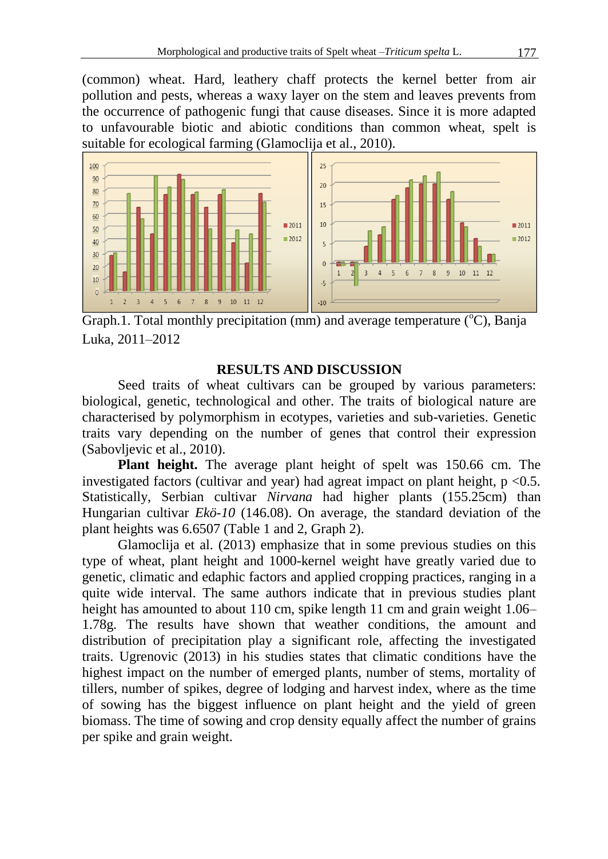(common) wheat. Hard, leathery chaff protects the kernel better from air pollution and pests, whereas a waxy layer on the stem and leaves prevents from the occurrence of pathogenic fungi that cause diseases. Since it is more adapted to unfavourable biotic and abiotic conditions than common wheat, spelt is suitable for ecological farming (Glamoclija et al., 2010).



Graph.1. Total monthly precipitation (mm) and average temperature  $({}^{\circ}C)$ , Banja Luka, 2011–2012

## **RESULTS AND DISCUSSION**

Seed traits of wheat cultivars can be grouped by various parameters: biological, genetic, technological and other. The traits of biological nature are characterised by polymorphism in ecotypes, varieties and sub-varieties. Genetic traits vary depending on the number of genes that control their expression (Sabovljevic et al., 2010).

**Plant height.** The average plant height of spelt was 150.66 cm. The investigated factors (cultivar and year) had agreat impact on plant height,  $p < 0.5$ . Statistically, Serbian cultivar *Nirvana* had higher plants (155.25cm) than Hungarian cultivar *Ekö-10* (146.08). On average, the standard deviation of the plant heights was 6.6507 (Table 1 and 2, Graph 2).

Glamoclija et al. (2013) emphasize that in some previous studies on this type of wheat, plant height and 1000-kernel weight have greatly varied due to genetic, climatic and edaphic factors and applied cropping practices, ranging in a quite wide interval. The same authors indicate that in previous studies plant height has amounted to about 110 cm, spike length 11 cm and grain weight 1.06– 1.78g. The results have shown that weather conditions, the amount and distribution of precipitation play a significant role, affecting the investigated traits. Ugrenovic (2013) in his studies states that climatic conditions have the highest impact on the number of emerged plants, number of stems, mortality of tillers, number of spikes, degree of lodging and harvest index, where as the time of sowing has the biggest influence on plant height and the yield of green biomass. The time of sowing and crop density equally affect the number of grains per spike and grain weight.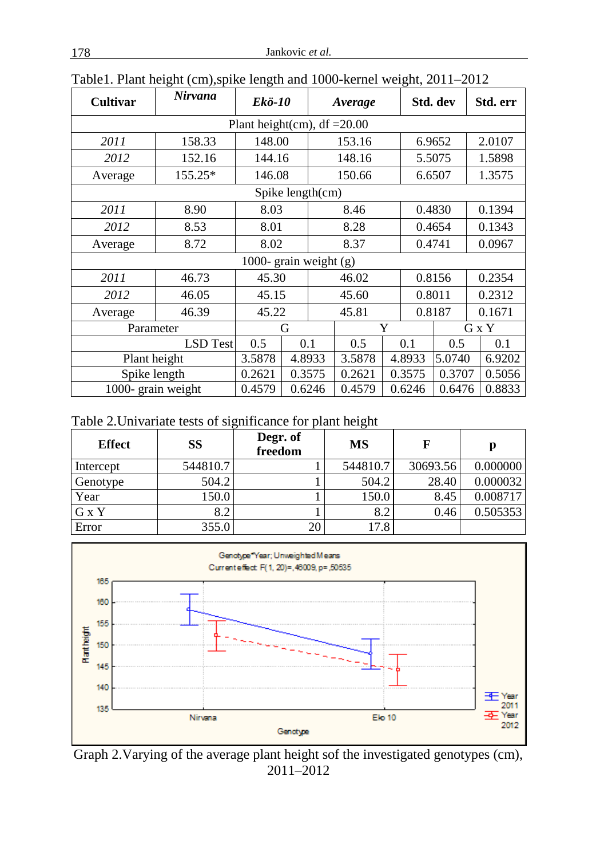| <b>Cultivar</b>          | Nirvana         | Ekö-10                         |                  |            | Average |        |        | Std. dev |        | Std. err |
|--------------------------|-----------------|--------------------------------|------------------|------------|---------|--------|--------|----------|--------|----------|
|                          |                 | Plant height(cm), $df = 20.00$ |                  |            |         |        |        |          |        |          |
| 2011                     | 158.33          | 148.00                         |                  | 153.16     |         | 6.9652 |        |          | 2.0107 |          |
| 2012                     | 152.16          | 144.16                         | 148.16           |            | 5.5075  |        |        | 1.5898   |        |          |
| Average                  | 155.25*         | 146.08                         |                  | 150.66     |         | 6.6507 |        |          | 1.3575 |          |
|                          |                 |                                | Spike length(cm) |            |         |        |        |          |        |          |
| 2011                     | 8.90            | 8.03                           |                  |            | 8.46    |        | 0.4830 |          |        | 0.1394   |
| 2012                     | 8.53            | 8.01                           |                  | 8.28       |         | 0.4654 |        |          | 0.1343 |          |
| Average                  | 8.72            | 8.02                           |                  | 8.37       |         | 0.4741 |        |          | 0.0967 |          |
| 1000- grain weight $(g)$ |                 |                                |                  |            |         |        |        |          |        |          |
| 2011                     | 46.73           | 45.30                          |                  | 46.02      |         | 0.8156 |        |          | 0.2354 |          |
| 2012                     | 46.05           | 45.15                          |                  | 45.60      |         | 0.8011 |        |          | 0.2312 |          |
| Average                  | 46.39           | 45.22                          |                  | 45.81      |         | 0.8187 |        |          | 0.1671 |          |
| Parameter                |                 | Y<br>G                         |                  |            | G x Y   |        |        |          |        |          |
|                          | <b>LSD</b> Test | 0.5                            | 0.1              | 0.5<br>0.1 |         | 0.5    |        | 0.1      |        |          |
| Plant height             |                 | 3.5878                         | 4.8933           |            | 3.5878  |        | 4.8933 | 5.0740   |        | 6.9202   |
| Spike length             |                 | 0.2621                         | 0.3575           |            | 0.2621  |        | 0.3575 | 0.3707   |        | 0.5056   |
| 1000- grain weight       |                 | 0.4579                         | 0.6246           |            | 0.4579  |        | 0.6246 | 0.6476   |        | 0.8833   |

Table1. Plant height (cm),spike length and 1000-kernel weight, 2011–2012

Table 2.Univariate tests of significance for plant height

| <b>Effect</b> | SS       | Degr. of<br>freedom | <b>MS</b> | F        |          |
|---------------|----------|---------------------|-----------|----------|----------|
| Intercept     | 544810.7 |                     | 544810.7  | 30693.56 | 0.000000 |
| Genotype      | 504.2    |                     | 504.2     | 28.40    | 0.000032 |
| Year          | 150.0    |                     | 150.0     | 8.45     | 0.008717 |
| G x Y         | 8.2      |                     | 8.2       | 0.46     | 0.505353 |
| Error         | 355.0    | 20                  | 17.8      |          |          |



Graph 2.Varying of the average plant height sof the investigated genotypes (cm), 2011–2012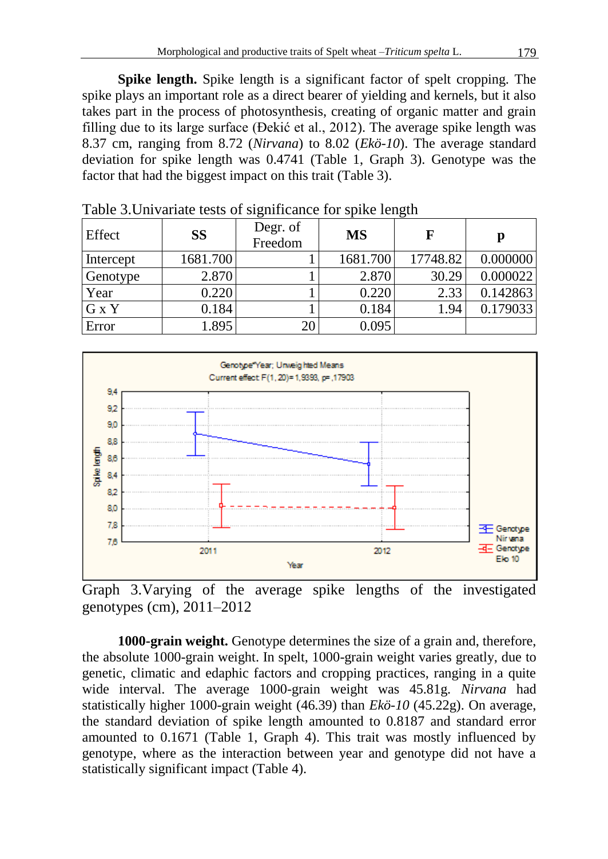**Spike length.** Spike length is a significant factor of spelt cropping. The spike plays an important role as a direct bearer of yielding and kernels, but it also takes part in the process of photosynthesis, creating of organic matter and grain filling due to its large surface (Đekić et al., 2012). The average spike length was 8.37 cm, ranging from 8.72 (*Nirvana*) to 8.02 (*Ekö-10*). The average standard deviation for spike length was 0.4741 (Table 1, Graph 3). Genotype was the factor that had the biggest impact on this trait (Table 3).

| Effect    | <b>SS</b> | Degr. of<br>Freedom | <b>MS</b> | F        | р        |
|-----------|-----------|---------------------|-----------|----------|----------|
| Intercept | 1681.700  |                     | 1681.700  | 17748.82 | 0.000000 |
| Genotype  | 2.870     |                     | 2.870     | 30.29    | 0.000022 |
| Year      | 0.220     |                     | 0.220     | 2.33     | 0.142863 |
| G x Y     | 0.184     |                     | 0.184     | 1.94     | 0.179033 |
| Error     | .895      | 20                  | 0.095     |          |          |

Table 3.Univariate tests of significance for spike length



Graph 3.Varying of the average spike lengths of the investigated genotypes (cm), 2011–2012

**1000-grain weight.** Genotype determines the size of a grain and, therefore, the absolute 1000-grain weight. In spelt, 1000-grain weight varies greatly, due to genetic, climatic and edaphic factors and cropping practices, ranging in a quite wide interval. The average 1000-grain weight was 45.81g. *Nirvana* had statistically higher 1000-grain weight (46.39) than *Ekö-10* (45.22g). On average, the standard deviation of spike length amounted to 0.8187 and standard error amounted to 0.1671 (Table 1, Graph 4). This trait was mostly influenced by genotype, where as the interaction between year and genotype did not have a statistically significant impact (Table 4).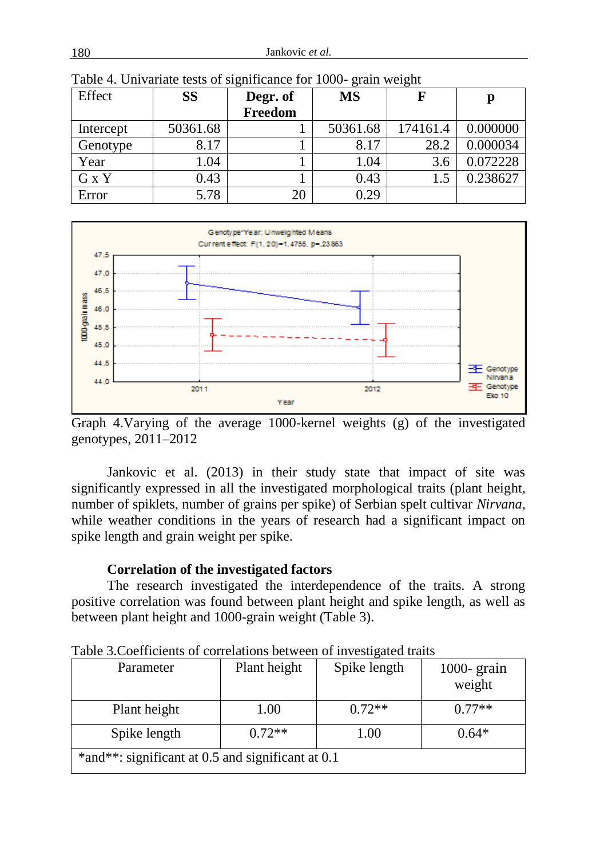| Effect    | <b>SS</b> | Degr. of | ັ<br><b>MS</b> | ັ        | p        |
|-----------|-----------|----------|----------------|----------|----------|
|           |           | Freedom  |                |          |          |
| Intercept | 50361.68  |          | 50361.68       | 174161.4 | 0.000000 |
| Genotype  | 8.17      |          | 8.17           | 28.2     | 0.000034 |
| Year      | 1.04      |          | 1.04           | 3.6      | 0.072228 |
| G x Y     | 0.43      |          | 0.43           |          | 0.238627 |
| Error     | 5.78      | 20       | 0.29           |          |          |

Table 4. Univariate tests of significance for 1000- grain weight



Graph 4.Varying of the average 1000-kernel weights (g) of the investigated genotypes, 2011–2012

Jankovic et al. (2013) in their study state that impact of site was significantly expressed in all the investigated morphological traits (plant height, number of spiklets, number of grains per spike) of Serbian spelt cultivar *Nirvana*, while weather conditions in the years of research had a significant impact on spike length and grain weight per spike.

# **Correlation of the investigated factors**

The research investigated the interdependence of the traits. A strong positive correlation was found between plant height and spike length, as well as between plant height and 1000-grain weight (Table 3).

| <u>raone steochneidhmo or conferancino occu cen or intestigated trans</u><br>Parameter | Plant height | Spike length | $1000 - \text{grain}$<br>weight |  |  |
|----------------------------------------------------------------------------------------|--------------|--------------|---------------------------------|--|--|
| Plant height                                                                           | 1.00         | $0.72**$     | $0.77**$                        |  |  |
| Spike length                                                                           | $0.72**$     | 1.00         | $0.64*$                         |  |  |
| *and**: significant at 0.5 and significant at 0.1                                      |              |              |                                 |  |  |

Table 3.Coefficients of correlations between of investigated traits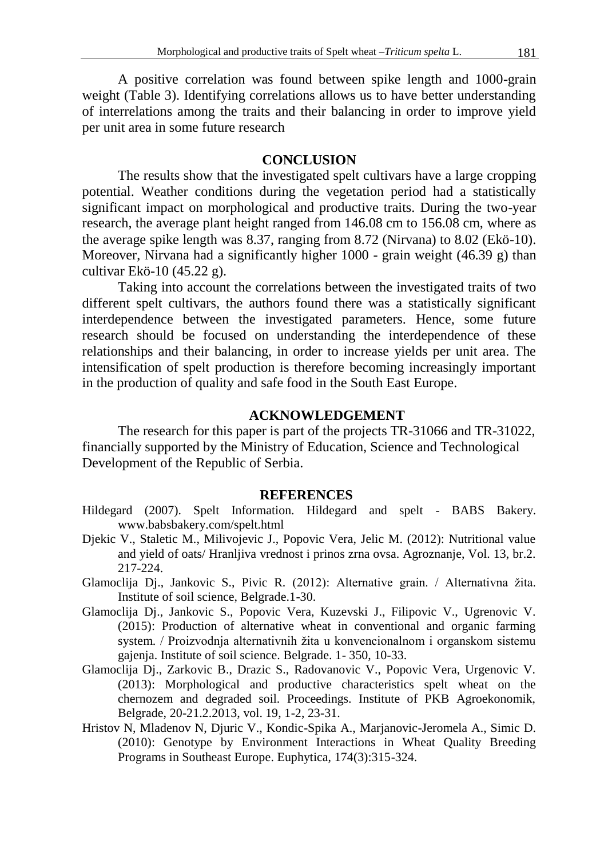A positive correlation was found between spike length and 1000-grain weight (Table 3). Identifying correlations allows us to have better understanding of interrelations among the traits and their balancing in order to improve yield per unit area in some future research

## **CONCLUSION**

The results show that the investigated spelt cultivars have a large cropping potential. Weather conditions during the vegetation period had a statistically significant impact on morphological and productive traits. During the two-year research, the average plant height ranged from 146.08 cm to 156.08 cm, where as the average spike length was 8.37, ranging from 8.72 (Nirvana) to 8.02 (Ekö-10). Moreover, Nirvana had a significantly higher 1000 - grain weight (46.39 g) than cultivar Ekö-10 (45.22 g).

Taking into account the correlations between the investigated traits of two different spelt cultivars, the authors found there was a statistically significant interdependence between the investigated parameters. Hence, some future research should be focused on understanding the interdependence of these relationships and their balancing, in order to increase yields per unit area. The intensification of spelt production is therefore becoming increasingly important in the production of quality and safe food in the South East Europe.

## **ACKNOWLEDGEMENT**

The research for this paper is part of the projects TR-31066 and TR-31022, financially supported by the Ministry of Education, Science and Technological Development of the Republic of Serbia.

#### **REFERENCES**

- Hildegard (2007). Spelt Information. Hildegard and spelt BABS Bakery. www.babsbakery.com/spelt.html
- Djekic V., Staletic M., Milivojevic J., Popovic Vera, Jelic M. (2012): Nutritional value and yield of oats/ Hranljiva vrednost i prinos zrna ovsa. Agroznanje, Vol. 13, br.2. 217-224.
- Glamoclija Dj., Jankovic S., Pivic R. (2012): Alternative grain. / Alternativna žita. Institute of soil science, Belgrade.1-30.
- Glamoclija Dj., Jankovic S., Popovic Vera, Kuzevski J., Filipovic V., Ugrenovic V. (2015): Production of alternative wheat in conventional and organic farming system. / Proizvodnja alternativnih žita u konvencionalnom i organskom sistemu gajenja. Institute of soil science. Belgrade. 1- 350, 10-33.
- Glamoclija Dj., Zarkovic B., Drazic S., Radovanovic V., Popovic Vera, Urgenovic V. (2013): Morphological and productive characteristics spelt wheat on the chernozem and degraded soil. Proceedings. Institute of PKB Agroekonomik, Belgrade, 20-21.2.2013, vol. 19, 1-2, 23-31.
- Hristov N, Mladenov N, Djuric V., Kondic-Spika A., Marjanovic-Jeromela A., Simic D. (2010): Genotype by Environment Interactions in Wheat Quality Breeding Programs in Southeast Europe. Euphytica, 174(3):315-324.